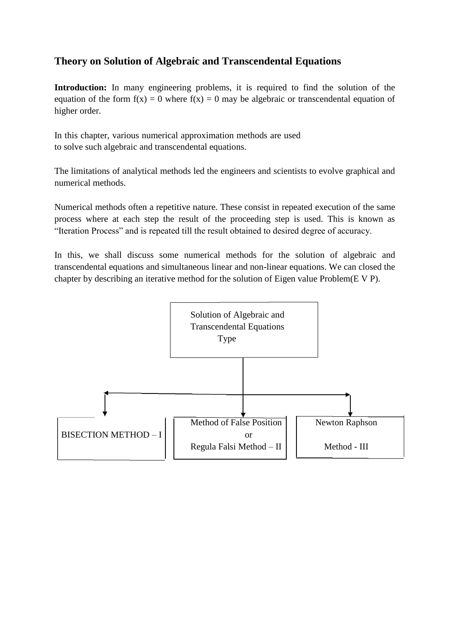# **Theory on Solution of Algebraic and Transcendental Equations**

Introduction: In many engineering problems, it is required to find the solution of the equation of the form  $f(x) = 0$  where  $f(x) = 0$  may be algebraic or transcendental equation of higher order.

In this chapter, various numerical approximation methods are used to solve such algebraic and transcendental equations.

The limitations of analytical methods led the engineers and scientists to evolve graphical and numerical methods.

Numerical methods often a repetitive nature. These consist in repeated execution of the same process where at each step the result of the proceeding step is used. This is known as "Iteration Process" and is repeated till the result obtained to desired degree of accuracy.

In this, we shall discuss some numerical methods for the solution of algebraic and transcendental equations and simultaneous linear and non-linear equations. We can closed the chapter by describing an iterative method for the solution of Eigen value Problem(E V P).

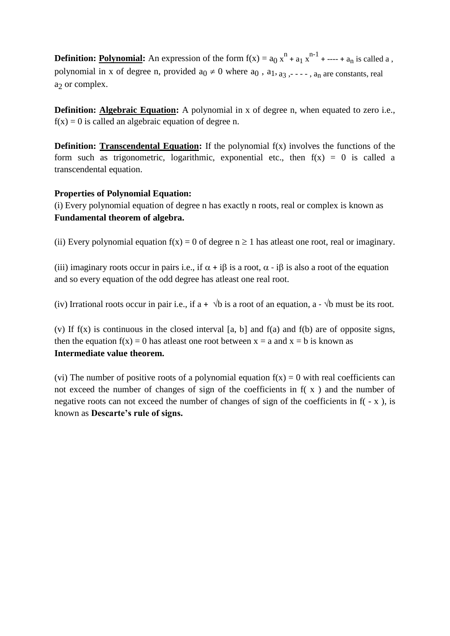**Definition: <u>Polynomial</u>:** An expression of the form  $f(x) = a_0 x^n + a_1 x^{n-1} + \dots + a_n$  is called a, polynomial in x of degree n, provided  $a_0 \neq 0$  where  $a_0$ ,  $a_1, a_3, \ldots, a_n$  are constants, real  $a<sub>2</sub>$  or complex.

**Definition: Algebraic Equation:** A polynomial in x of degree n, when equated to zero i.e.,  $f(x) = 0$  is called an algebraic equation of degree n.

**Definition: Transcendental Equation:** If the polynomial  $f(x)$  involves the functions of the form such as trigonometric, logarithmic, exponential etc., then  $f(x) = 0$  is called a transcendental equation.

### **Properties of Polynomial Equation:**

(i) Every polynomial equation of degree n has exactly n roots, real or complex is known as **Fundamental theorem of algebra.**

(ii) Every polynomial equation  $f(x) = 0$  of degree  $n \ge 1$  has atleast one root, real or imaginary.

(iii) imaginary roots occur in pairs i.e., if  $\alpha + i\beta$  is a root,  $\alpha - i\beta$  is also a root of the equation and so every equation of the odd degree has atleast one real root.

(iv) Irrational roots occur in pair i.e., if a +  $\sqrt{b}$  is a root of an equation, a -  $\sqrt{b}$  must be its root.

(v) If  $f(x)$  is continuous in the closed interval [a, b] and  $f(a)$  and  $f(b)$  are of opposite signs, then the equation  $f(x) = 0$  has at least one root between  $x = a$  and  $x = b$  is known as **Intermediate value theorem.**

(vi) The number of positive roots of a polynomial equation  $f(x) = 0$  with real coefficients can not exceed the number of changes of sign of the coefficients in f( x ) and the number of negative roots can not exceed the number of changes of sign of the coefficients in  $f(-x)$ , is known as **Descarte's rule of signs.**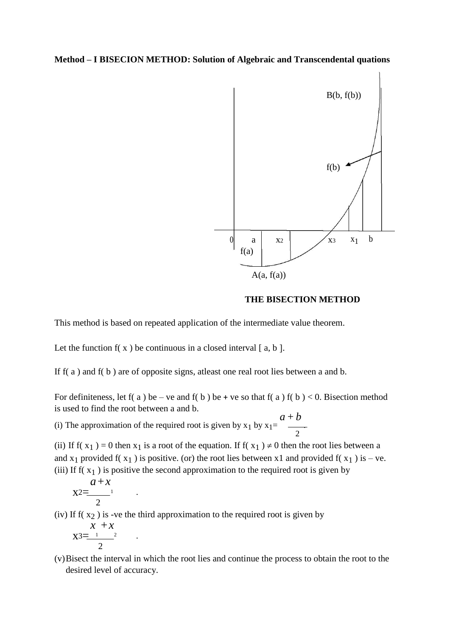### **Method – I BISECION METHOD: Solution of Algebraic and Transcendental quations**



#### **THE BISECTION METHOD**

This method is based on repeated application of the intermediate value theorem.

Let the function  $f(x)$  be continuous in a closed interval [a, b].

If f( a ) and f( b ) are of opposite signs, atleast one real root lies between a and b.

For definiteness, let f(a) be – ve and f(b) be + ve so that f(a) f(b) < 0. Bisection method is used to find the root between a and b.

(i) The approximation of the required root is given by  $x_1$  by  $x_1 =$ *a* + *b* . 2

(ii) If  $f(x_1) = 0$  then  $x_1$  is a root of the equation. If  $f(x_1) \neq 0$  then the root lies between a and  $x_1$  provided f( $x_1$ ) is positive. (or) the root lies between x1 and provided f( $x_1$ ) is – ve. (iii) If  $f(x_1)$  is positive the second approximation to the required root is given by

$$
x^{2} = \frac{a+x}{2} \qquad .
$$

(iv) If  $f(x_2)$  is -ve the third approximation to the required root is given by

$$
x + x
$$
  

$$
x3 = \frac{x + x}{2}
$$

(v)Bisect the interval in which the root lies and continue the process to obtain the root to the desired level of accuracy.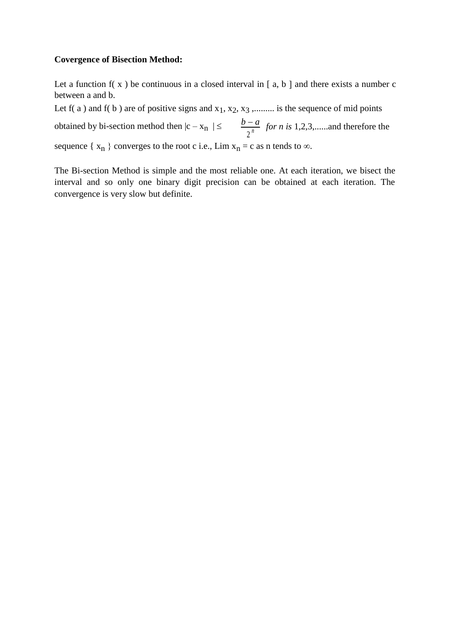### **Covergence of Bisection Method:**

Let a function  $f(x)$  be continuous in a closed interval in [a, b ] and there exists a number c between a and b.

Let  $f(a)$  and  $f(b)$  are of positive signs and  $x_1, x_2, x_3, \ldots$  is the sequence of mid points

obtained by bi-section method then  $|c - x_n| \le \frac{b-a}{a^n}$  *for n is* 1,2,3,......and therefore the 2 *n* sequence { $x_n$  } converges to the root c i.e., Lim  $x_n = c$  as n tends to  $\infty$ .

The Bi-section Method is simple and the most reliable one. At each iteration, we bisect the interval and so only one binary digit precision can be obtained at each iteration. The convergence is very slow but definite.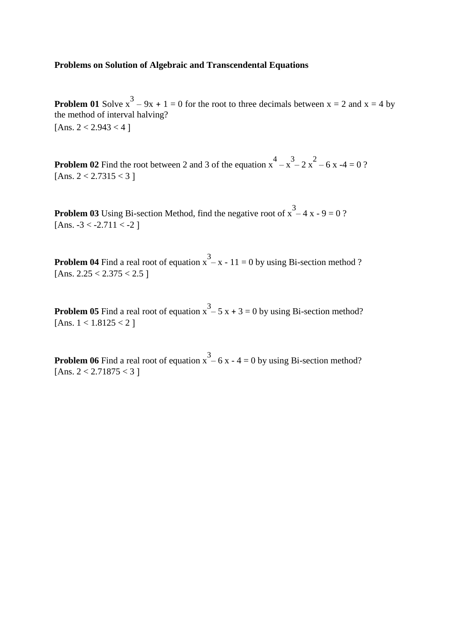#### **Problems on Solution of Algebraic and Transcendental Equations**

**Problem 01** Solve  $x^3 - 9x + 1 = 0$  for the root to three decimals between  $x = 2$  and  $x = 4$  by the method of interval halving? [Ans.  $2 < 2.943 < 4$ ]

**Problem 02** Find the root between 2 and 3 of the equation  $x^4 - x^3 - 2x^2 - 6x - 4 = 0$ ? [Ans.  $2 < 2.7315 < 3$ ]

**Problem 03** Using Bi-section Method, find the negative root of  $x^3 - 4x - 9 = 0$ ? [Ans.  $-3 < -2.711 < -2$ ]

**Problem 04** Find a real root of equation  $x^3 - x - 11 = 0$  by using Bi-section method ? [Ans.  $2.25 < 2.375 < 2.5$ ]

**Problem 05** Find a real root of equation  $x^3 - 5x + 3 = 0$  by using Bi-section method? [Ans.  $1 < 1.8125 < 2$ ]

**Problem 06** Find a real root of equation  $x^3 - 6x - 4 = 0$  by using Bi-section method? [Ans.  $2 < 2.71875 < 3$ ]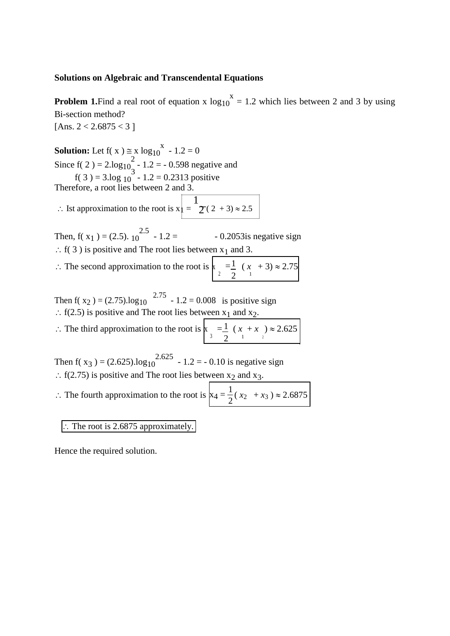#### **Solutions on Algebraic and Transcendental Equations**

**Problem 1.** Find a real root of equation x  $log_{10}^{x} = 1.2$  which lies between 2 and 3 by using Bi-section method? [Ans.  $2 < 2.6875 < 3$ ]

**Solution:** Let  $f(x) \approx x \log_{10}^{x} - 1.2 = 0$ Since  $f(2) = 2 \cdot log_{10}^{2} - 1.2 = -0.598$  negative and  $f(3) = 3 \log_{10} 3 - 1.2 = 0.2313$  positive

Therefore, a root lies between 2 and 3.

 $\therefore$  Ist approximation to the root is  $x| =$ 1  $2(2 + 3) \approx 2.5$ 

Then, f(  $x_1$  ) = (2.5).  $10^{2.5}$ - 0.2053is negative sign  $\therefore$  f( 3 ) is positive and The root lies between x<sub>1</sub> and 3.

 $\therefore$  The second approximation to the root is  $x_2 = \frac{1}{2} (x_1 + 3) \approx 2.75$ 2 1

Then  $f(x_2) = (2.75) \cdot \log_{10} 2.75 - 1.2 = 0.008$  is positive sign  $\therefore$  f(2.5) is positive and The root lies between x<sub>1</sub> and x<sub>2</sub>.

 $\therefore$  The third approximation to the root is  $x_3 = \frac{1}{2} (x_1 + x_2) \approx 2.625$  $2^{1}$  <sup>2</sup>

Then  $f(x_3) = (2.625) \cdot \log_{10}^{2.625} - 1.2 = -0.10$  is negative sign  $\therefore$  f(2.75) is positive and The root lies between x<sub>2</sub> and x<sub>3</sub>.

 $\therefore$  The fourth approximation to the root is  $x_4 = \frac{1}{2}(x_2 + x_3) \approx 2.6875$ 

### The root is 2.6875 approximately.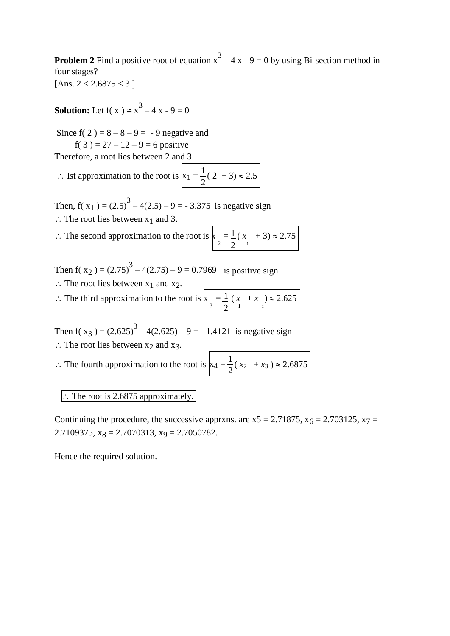**Problem 2** Find a positive root of equation  $x^3 - 4x - 9 = 0$  by using Bi-section method in four stages?

[Ans.  $2 < 2.6875 < 3$ ]

**Solution:** Let  $f(x) \approx x^3 - 4x - 9 = 0$ 

Since  $f(2) = 8 - 8 - 9 = -9$  negative and f( 3 ) =  $27 - 12 - 9 = 6$  positive

Therefore, a root lies between 2 and 3.

 $\therefore$  Ist approximation to the root is  $x_1 = \frac{1}{2}(2 + 3) \approx 2.5$ 2

Then,  $f(x_1) = (2.5)^3 - 4(2.5) - 9 = -3.375$  is negative sign  $\therefore$  The root lies between  $x_1$  and 3.

$$
\therefore \text{ The second approximation to the root is } \left| \sum_{i=1}^{\infty} \frac{1}{2} (x_i + 3) \approx 2.75 \right|
$$

Then  $f(x_2) = (2.75)^3 - 4(2.75) - 9 = 0.7969$  is positive sign

- $\therefore$  The root lies between  $x_1$  and  $x_2$ .
- $\therefore$  The third approximation to the root is  $x_3 = \frac{1}{2}(x_1 + x_2) \approx 2.625$  $2^{1}$  <sup>2</sup>

Then  $f(x_3) = (2.625)^3 - 4(2.625) - 9 = -1.4121$  is negative sign  $\therefore$  The root lies between x<sub>2</sub> and x<sub>3</sub>.

 $\therefore$  The fourth approximation to the root is 1

$$
x_4 = \frac{1}{2}(x_2 + x_3) \approx 2.6875
$$

 $\therefore$  The root is 2.6875 approximately.

Continuing the procedure, the successive apprxns. are  $x5 = 2.71875$ ,  $x_6 = 2.703125$ ,  $x_7 =$ 2.7109375,  $x_8 = 2.7070313$ ,  $x_9 = 2.7050782$ .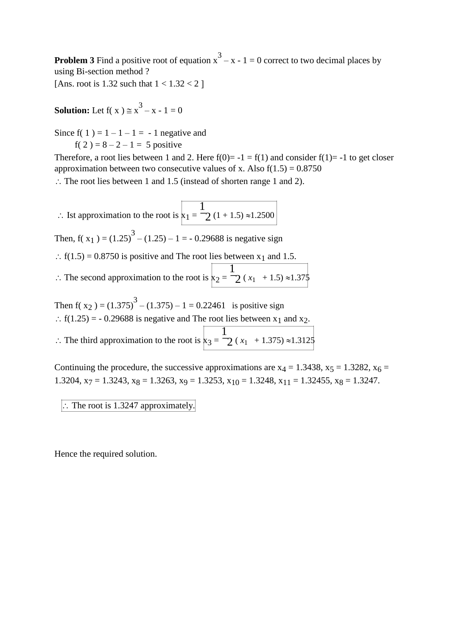**Problem 3** Find a positive root of equation  $x^3 - x - 1 = 0$  correct to two decimal places by using Bi-section method ?

[Ans. root is 1.32 such that  $1 < 1.32 < 2$ ]

**Solution:** Let  $f(x) \approx x^3 - x - 1 = 0$ 

Since  $f(1) = 1 - 1 - 1 = -1$  negative and f( 2 ) =  $8 - 2 - 1 = 5$  positive

Therefore, a root lies between 1 and 2. Here  $f(0)= -1 = f(1)$  and consider  $f(1) = -1$  to get closer approximation between two consecutive values of x. Also  $f(1.5) = 0.8750$ 

 $\therefore$  The root lies between 1 and 1.5 (instead of shorten range 1 and 2).

 $\therefore$  Ist approximation to the root is  $x_1 =$ 1  $2(1 + 1.5) \approx 1.2500$ Then,  $f(x_1) = (1.25)^3 - (1.25) - 1 = -0.29688$  is negative sign  $\therefore$  f(1.5) = 0.8750 is positive and The root lies between x<sub>1</sub> and 1.5.  $\therefore$  The second approximation to the root is  $x_2 =$ 1  $2(x_1 + 1.5) \approx 1.375$ Then  $f(x_2) = (1.375)^3 - (1.375) - 1 = 0.22461$  is positive sign  $\therefore$  f(1.25) = - 0.29688 is negative and The root lies between x<sub>1</sub> and x<sub>2</sub>.  $\therefore$  The third approximation to the root is  $x_3 =$ 1  $2(x_1 + 1.375) \approx 1.3125$ 

Continuing the procedure, the successive approximations are  $x_4 = 1.3438$ ,  $x_5 = 1.3282$ ,  $x_6 =$ 1.3204,  $x_7 = 1.3243$ ,  $x_8 = 1.3263$ ,  $x_9 = 1.3253$ ,  $x_{10} = 1.3248$ ,  $x_{11} = 1.32455$ ,  $x_8 = 1.3247$ .

 $\therefore$  The root is 1.3247 approximately.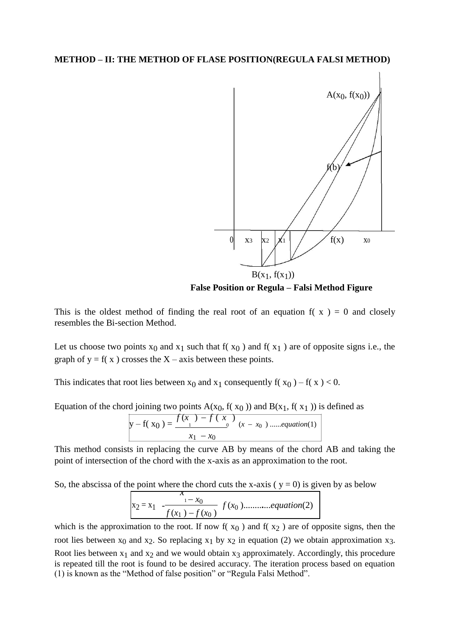

**False Position or Regula – Falsi Method Figure**

This is the oldest method of finding the real root of an equation  $f(x) = 0$  and closely resembles the Bi-section Method.

Let us choose two points  $x_0$  and  $x_1$  such that  $f(x_0)$  and  $f(x_1)$  are of opposite signs i.e., the graph of  $y = f(x)$  crosses the X – axis between these points.

This indicates that root lies between  $x_0$  and  $x_1$  consequently  $f(x_0) - f(x) < 0$ .

Equation of the chord joining two points  $A(x_0, f(x_0))$  and  $B(x_1, f(x_1))$  is defined as

$$
y - f(x_0) = \frac{f(x_0) - f(x_0)}{x_1 - x_0} (x - x_0) \dots
$$

This method consists in replacing the curve AB by means of the chord AB and taking the point of intersection of the chord with the x-axis as an approximation to the root.

So, the abscissa of the point where the chord cuts the x-axis ( $y = 0$ ) is given by as below

$$
x_2 = x_1 - \frac{x_0}{f(x_1) - f(x_0)} f(x_0) \dots (equation (2)
$$

which is the approximation to the root. If now  $f(x_0)$  and  $f(x_2)$  are of opposite signs, then the root lies between  $x_0$  and  $x_2$ . So replacing  $x_1$  by  $x_2$  in equation (2) we obtain approximation  $x_3$ . Root lies between  $x_1$  and  $x_2$  and we would obtain  $x_3$  approximately. Accordingly, this procedure is repeated till the root is found to be desired accuracy. The iteration process based on equation (1) is known as the "Method of false position" or "Regula Falsi Method".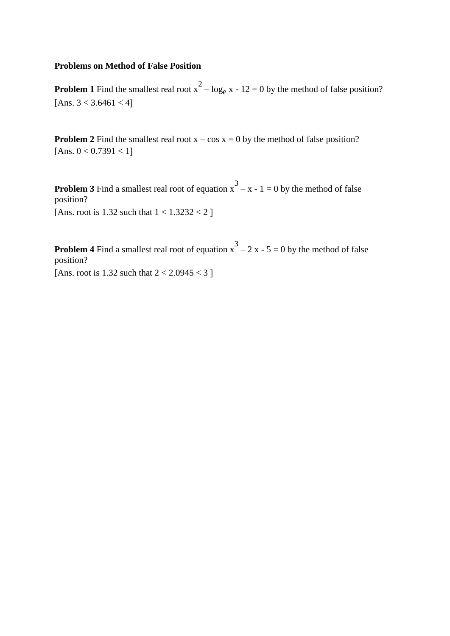### **Problems on Method of False Position**

**Problem 1** Find the smallest real root  $x^2 - log_e x - 12 = 0$  by the method of false position? [Ans.  $3 < 3.6461 < 4$ ]

**Problem 2** Find the smallest real root  $x - \cos x = 0$  by the method of false position? [Ans.  $0 < 0.7391 < 1$ ]

**Problem 3** Find a smallest real root of equation  $x^3 - x - 1 = 0$  by the method of false position? [Ans. root is  $1.32$  such that  $1 < 1.3232 < 2$ ]

**Problem 4** Find a smallest real root of equation  $x^3 - 2x - 5 = 0$  by the method of false position? [Ans. root is 1.32 such that  $2 < 2.0945 < 3$ ]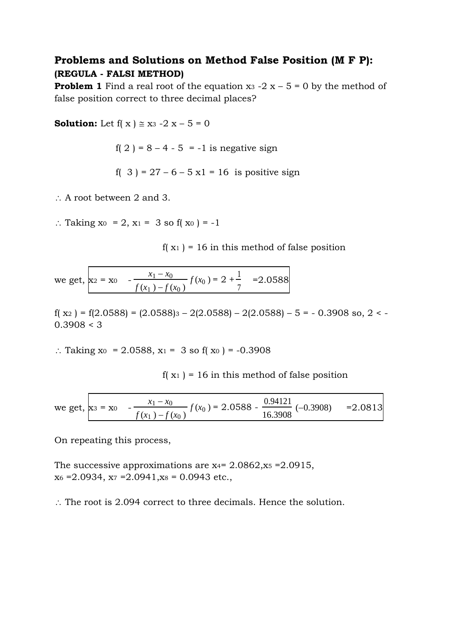# **Problems and Solutions on Method False Position (M F P): (REGULA - FALSI METHOD)**

**Problem 1** Find a real root of the equation  $x_3 - 2x - 5 = 0$  by the method of false position correct to three decimal places?

**Solution:** Let  $f(x) \approx x_3 - 2x - 5 = 0$ 

f( 2 ) = 8 – 4 - 5 = -1 is negative sign

f( 3 ) = 27 – 6 – 5 x1 = 16 is positive sign

 $\therefore$  A root between 2 and 3.

∴ Taking  $x_0 = 2$ ,  $x_1 = 3$  so f( $x_0 = -1$ )

 $f(x_1) = 16$  in this method of false position

we get,  $x_2 = x_0$   $\frac{x_1 - x_0}{x_1 - x_0} f(x_0) = 2 + \frac{1}{7} = 2.0588$  $f(x_1) - f(x_0)$  7

 $f(x_2) = f(2.0588) = (2.0588)3 - 2(2.0588) - 2(2.0588) - 5 = -0.3908$  so, 2 < - $0.3908 < 3$ 

∴ Taking x<sub>0</sub> = 2.0588, x<sub>1</sub> = 3 so f(x<sub>0</sub>) = -0.3908

 $f(x_1) = 16$  in this method of false position

we get, 
$$
\mathbf{x}_3 = \mathbf{x}_0
$$
 -  $\frac{x_1 - x_0}{f(x_1) - f(x_0)} f(x_0) = 2.0588 - \frac{0.94121}{16.3908} (-0.3908)$  = 2.0813

On repeating this process,

The successive approximations are  $x_4$ = 2.0862, $x_5$  = 2.0915,  $x_6 = 2.0934$ ,  $x_7 = 2.0941$ ,  $x_8 = 0.0943$  etc.

 $\therefore$  The root is 2.094 correct to three decimals. Hence the solution.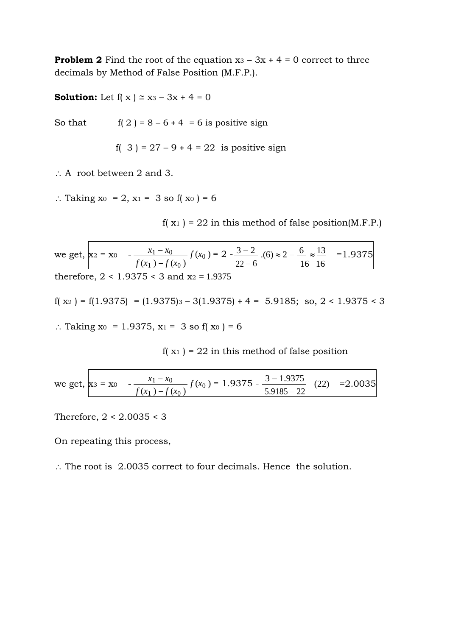**Problem 2** Find the root of the equation  $x_3 - 3x + 4 = 0$  correct to three decimals by Method of False Position (M.F.P.).

**Solution:** Let  $f(x) \approx x_3 - 3x + 4 = 0$ 

So that  $f( 2 ) = 8 - 6 + 4 = 6$  is positive sign

f( 3 ) = 27 – 9 + 4 = 22 is positive sign

 $\therefore$  A root between 2 and 3.

∴ Taking x<sub>0</sub> = 2, x<sub>1</sub> = 3 so f(x<sub>0</sub>) = 6

 $f(x_1) = 22$  in this method of false position(M.F.P.)

we get,  $x_2 = x_0$   $\frac{x_1 - x_0}{x_2 - x_0} = f(x_0) = 2 - \frac{3 - 2}{x_0}$ . (6)  $\approx 2 - \frac{6}{x_0} \approx$  $=1.9375$  $f(x_1) - f(x_0)$  22-6 16 16 therefore,  $2 < 1.9375 < 3$  and  $x_2 = 1.9375$ 

 $f(x_2) = f(1.9375) = (1.9375) - 3(1.9375) + 4 = 5.9185$ ; so,  $2 < 1.9375 < 3$ 

∴ Taking x<sub>0</sub> = 1.9375, x<sub>1</sub> = 3 so f(x<sub>0</sub>) = 6

 $f(x_1) = 22$  in this method of false position

we get, 
$$
\mathbf{x}_3 = \mathbf{x}_0
$$
 -  $\frac{x_1 - x_0}{f(x_1) - f(x_0)} f(x_0) = 1.9375 - \frac{3 - 1.9375}{5.9185 - 22}$  (22) =2.0035

Therefore, 2 < 2.0035 < 3

On repeating this process,

 $\therefore$  The root is 2.0035 correct to four decimals. Hence the solution.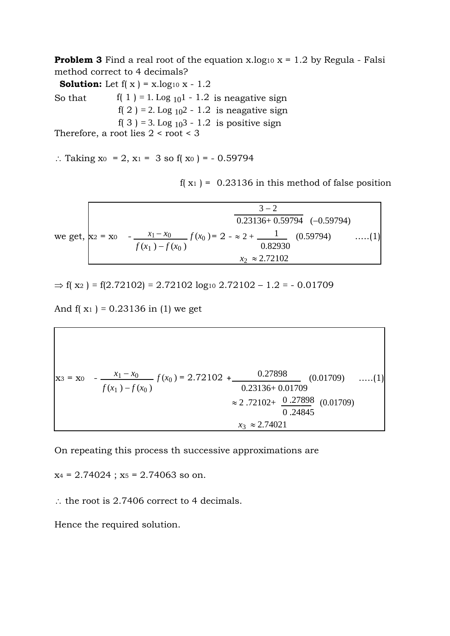**Problem 3** Find a real root of the equation x.log<sub>10</sub>  $x = 1.2$  by Regula - Falsi method correct to 4 decimals?

**Solution:** Let  $f(x) = x \cdot log_{10} x - 1.2$ 

So that  $f(1) = 1$ . Log  $_{10}1 - 1.2$  is neagative sign f( 2 ) = 2. Log  $_{10}2 - 1.2$  is neagative sign f( 3 ) = 3. Log  $_{10}$ 3 - 1.2 is positive sign

Therefore, a root lies  $2 <$  root  $<$  3

 $\therefore$  Taking x<sub>0</sub> = 2, x<sub>1</sub> = 3 so f(x<sub>0</sub>) = - 0.59794

 $f(x_1) = 0.23136$  in this method of false position

| $0.23136+0.59794$ $(-0.59794)$                                                                              |              |
|-------------------------------------------------------------------------------------------------------------|--------------|
| we get, $x_2 = x_0$ - $\frac{x_1 - x_0}{x_1 - x_0}$ $f(x_0) = 2 - \infty 2 + \frac{1}{x_0 - x_0}$ (0.59794) | $\ldots$ (1) |
| $f(x_1) - f(x_0)$<br>0.82930<br>$x_2 \approx 2.72102$                                                       |              |

 $\Rightarrow$  f( x<sub>2</sub>) = f(2.72102) = 2.72102 log<sub>10</sub> 2.72102 - 1.2 = - 0.01709

And  $f(x_1) = 0.23136$  in (1) we get

$$
\mathbf{x}_3 = \mathbf{x}_0 - \frac{x_1 - x_0}{f(x_1) - f(x_0)} f(x_0) = 2.72102 + \frac{0.27898}{0.23136 + 0.01709} (0.01709) \quad \dots (1)
$$

$$
\approx 2.72102 + \frac{0.27898}{0.24845} (0.01709)
$$

$$
x_3 \approx 2.74021
$$

On repeating this process th successive approximations are

 $x_4 = 2.74024$ ;  $x_5 = 2.74063$  so on.

 $\therefore$  the root is 2.7406 correct to 4 decimals.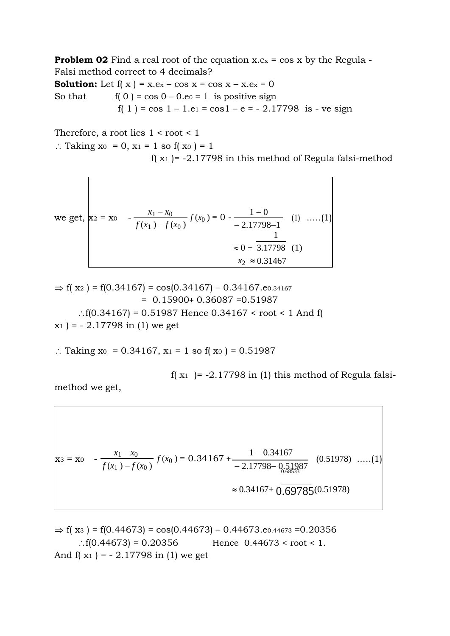**Problem 02** Find a real root of the equation  $x.e_x = cos x$  by the Regula -Falsi method correct to 4 decimals?

**Solution:** Let  $f(x) = x.ex - cos x = cos x - x.ex = 0$ So that  $f(0) = \cos 0 - 0.$ e $e = 1$  is positive sign f( 1 ) = cos  $1 - 1.e$ <sub>1</sub> = cos  $1 - e$  =  $- 2.17798$  is - ve sign

Therefore, a root lies  $1 <$  root  $< 1$ 

∴ Taking  $x_0 = 0$ ,  $x_1 = 1$  so f( $x_0$ ) = 1

f( $x_1$ ) = -2.17798 in this method of Regula falsi-method

we get, 
$$
\mathbf{x}_2 = \mathbf{x}_0
$$
  $-\frac{x_1 - x_0}{f(x_1) - f(x_0)} f(x_0) = 0 - \frac{1 - 0}{-2.17798 - 1}$  (1) ....(1)  
 $\approx 0 + \frac{1}{3.17798}$  (1)  
 $x_2 \approx 0.31467$ 

 $\Rightarrow$  f( x<sub>2</sub>) = f(0.34167) = cos(0.34167) – 0.34167.eo.34167  $= 0.15900 + 0.36087 = 0.51987$ : f(0.34167) = 0.51987 Hence 0.34167 < root < 1 And f(  $x_1$ ) = - 2.17798 in (1) we get

∴ Taking x<sub>0</sub> = 0.34167, x<sub>1</sub> = 1 so f(x<sub>0</sub>) = 0.51987

f( $x_1$ ) = -2.17798 in (1) this method of Regula falsi-

method we get,

$$
\mathbf{x}_3 = \mathbf{x}_0 - \frac{x_1 - x_0}{f(x_1) - f(x_0)} f(x_0) = 0.34167 + \frac{1 - 0.34167}{-2.17798 - \frac{0.51987}{0.68533}} (0.51978) \dots (1)
$$

$$
\approx 0.34167 + \frac{0.69785}{0.69785} (0.51978)
$$

 $\Rightarrow$  f( x<sub>3</sub>) = f(0.44673) = cos(0.44673) – 0.44673.e0.44673 = 0.20356  $\therefore$  f(0.44673) = 0.20356 Hence 0.44673 < root < 1. And  $f(x_1) = -2.17798$  in (1) we get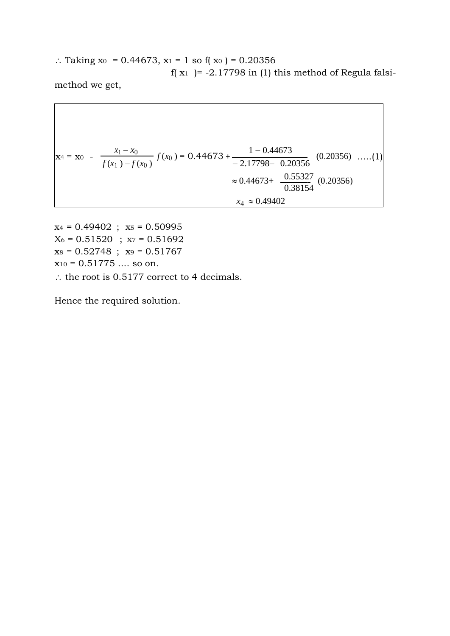∴ Taking x<sup>0</sup> = 0.44673, x<sub>1</sub> = 1 so f(x<sup>0</sup>) = 0.20356 f( $x_1$ ) = -2.17798 in (1) this method of Regula falsimethod we get,

$$
x_4 = x_0 - \frac{x_1 - x_0}{f(x_1) - f(x_0)} f(x_0) = 0.44673 + \frac{1 - 0.44673}{-2.17798 - 0.20356} (0.20356) \dots (1)
$$
  

$$
\approx 0.44673 + \frac{0.55327}{0.38154} (0.20356)
$$
  

$$
x_4 \approx 0.49402
$$

 $x_4 = 0.49402$ ;  $x_5 = 0.50995$  $\rm X_6 = 0.51520\;$  ;  $\rm x_7 = 0.51692$  $x_8 = 0.52748$ ;  $x_9 = 0.51767$  $x_{10} = 0.51775$  .... so on.  $\therefore$  the root is 0.5177 correct to 4 decimals.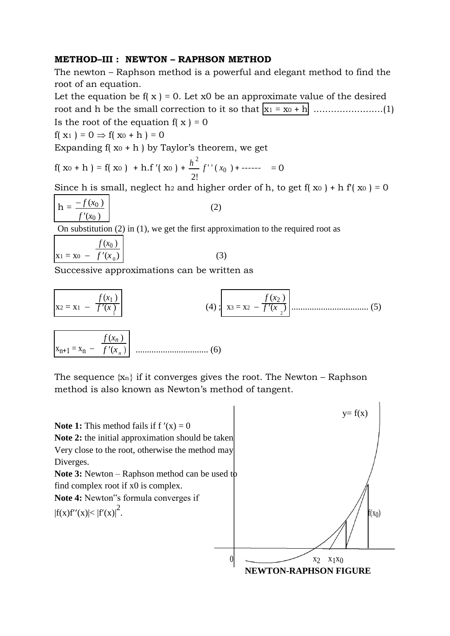### **METHOD–III : NEWTON – RAPHSON METHOD**

The newton – Raphson method is a powerful and elegant method to find the root of an equation.

Let the equation be  $f(x) = 0$ . Let x0 be an approximate value of the desired root and h be the small correction to it so that x<sup>1</sup> = x<sup>0</sup> + h ........................(1) Is the root of the equation  $f(x) = 0$ 

$$
f(\mathbf{x}_1) = 0 \Rightarrow f(\mathbf{x}_0 + h) = 0
$$

Expanding  $f(x_0 + h)$  by Taylor's theorem, we get

$$
f(x_0 + h) = f(x_0) + h.f'(x_0) + \frac{h^2}{2!}f''(x_0) + \dots = 0
$$

Since h is small, neglect h<sub>2</sub> and higher order of h, to get f( $x_0$ ) + h f( $x_0$ ) = 0

$$
h = \frac{-f(x_0)}{f'(x_0)}\tag{2}
$$

On substitution (2) in (1), we get the first approximation to the required root as

$$
x_1 = x_0 - \frac{f(x_0)}{f'(x_0)}
$$
 (3)

$$
\overline{a}
$$

Successive approximations can be written as

$$
x_2 = x_1 - \frac{f(x_1)}{f'(x_1)}
$$
(4);  $x_3 = x_2 - \frac{f(x_2)}{f'(x_2)}$ ................. (5)  

$$
x_{n+1} = x_n - \frac{f(x_n)}{f'(x_n)}
$$
................. (6)

The sequence  $\{x_n\}$  if it converges gives the root. The Newton – Raphson method is also known as Newton's method of tangent.

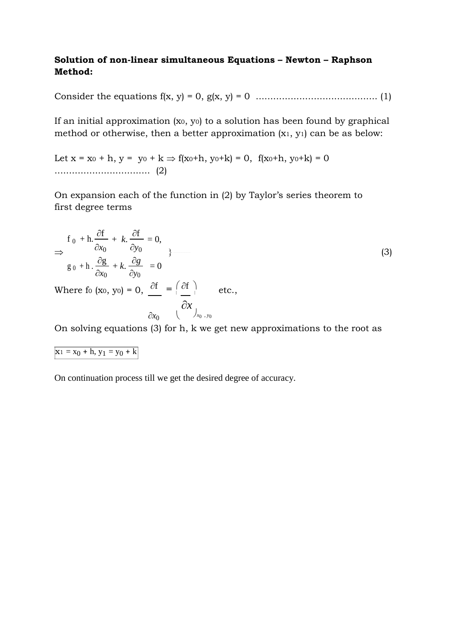## **Solution of non-linear simultaneous Equations – Newton – Raphson Method:**

Consider the equations f(x, y) = 0, g(x, y) = 0 .......................................... (1)

If an initial approximation (x0, y0) to a solution has been found by graphical method or otherwise, then a better approximation (x1, y1) can be as below:

Let  $x = x_0 + h$ ,  $y = y_0 + k \Rightarrow f(x_0+h, y_0+k) = 0$ ,  $f(x_0+h, y_0+k) = 0$ ................................. (2)

On expansion each of the function in (2) by Taylor's series theorem to first degree terms

$$
\Rightarrow \frac{f_0 + h \cdot \frac{\partial f}{\partial x_0} + k \cdot \frac{\partial f}{\partial y_0} = 0,}{g_0 + h \cdot \frac{\partial g}{\partial x_0} + k \cdot \frac{\partial g}{\partial y_0} = 0
$$
\nWhere fo (xo, yo) = 0,  $\frac{\partial f}{\partial x_0} = \left(\frac{\partial f}{\partial x}\right)_{x_0, y_0}$  etc.,

On solving equations (3) for h, k we get new approximations to the root as

$$
x_1 = x_0 + h, y_1 = y_0 + k
$$

On continuation process till we get the desired degree of accuracy.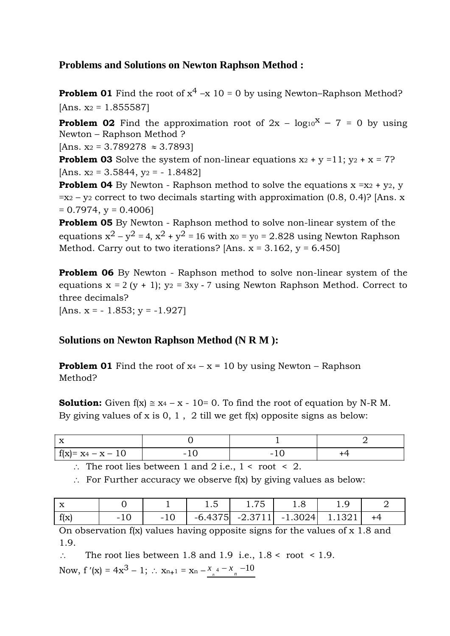# **Problems and Solutions on Newton Raphson Method :**

**Problem 01** Find the root of  $x^4 - x$  10 = 0 by using Newton–Raphson Method?  $[Ans. x_2 = 1.855587]$ 

**Problem 02** Find the approximation root of  $2x - log_{10}x - 7 = 0$  by using Newton – Raphson Method ?

 $[Ans. x_2 = 3.789278 \approx 3.7893]$ 

**Problem 03** Solve the system of non-linear equations  $x_2 + y = 11$ ;  $y_2 + x = 7$ ? [Ans.  $x_2 = 3.5844$ ,  $y_2 = -1.8482$ ]

**Problem 04** By Newton - Raphson method to solve the equations  $x = x^2 + y^2$ , y  $=x_2 - y_2$  correct to two decimals starting with approximation (0.8, 0.4)? [Ans. x  $= 0.7974$ , y = 0.4006]

**Problem 05** By Newton - Raphson method to solve non-linear system of the equations  $x^2 - y^2 = 4$ ,  $x^2 + y^2 = 16$  with  $x_0 = y_0 = 2.828$  using Newton Raphson Method. Carry out to two iterations? [Ans.  $x = 3.162$ ,  $y = 6.450$ ]

**Problem 06** By Newton - Raphson method to solve non-linear system of the equations  $x = 2 (y + 1)$ ;  $y_2 = 3xy - 7$  using Newton Raphson Method. Correct to three decimals? [Ans.  $x = -1.853$ ;  $y = -1.927$ ]

## **Solutions on Newton Raphson Method (N R M ):**

**Problem 01** Find the root of  $x_4 - x = 10$  by using Newton – Raphson Method?

**Solution:** Given  $f(x) \approx x_4 - x - 10 = 0$ . To find the root of equation by N-R M. By giving values of x is  $0, 1, 2$  till we get f(x) opposite signs as below:

| $\mathbf{v}$<br>$\rightarrow$ |     |        |  |
|-------------------------------|-----|--------|--|
| $f(x)=x_4-x-10$               | - - | $\sim$ |  |

 $\therefore$  The root lies between 1 and 2 i.e., 1 < root < 2.

 $\therefore$  For Further accuracy we observe f(x) by giving values as below:

| $-$<br>$\boldsymbol{\Lambda}$ |             | 1.J       | 1. I J    | ⊥.∪       |      |  |
|-------------------------------|-------------|-----------|-----------|-----------|------|--|
| f(x)                          | $-1$<br>∙⊥∪ | $-6.4375$ | $-2.3711$ | $-1.3024$ | 1321 |  |

On observation f(x) values having opposite signs for the values of x 1.8 and 1.9.

 $\therefore$  The root lies between 1.8 and 1.9 i.e., 1.8 < root < 1.9.

Now,  $f'(x) = 4x^3 - 1$ ;  $\therefore$   $x_{n+1} = x_n - x_{n+1} - x_n - 10$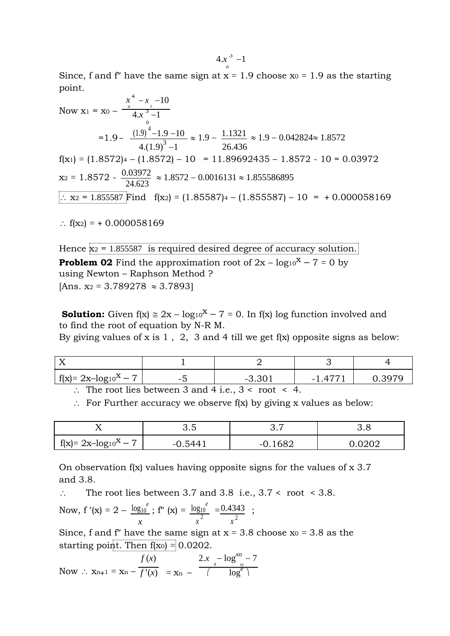Since, f and f'' have the same sign at  $x = 1.9$  choose  $x_0 = 1.9$  as the starting point.

Now 
$$
x_1 = x_0 - \frac{x^4 - x - 10}{4 \cdot x^3 - 1}
$$
  
\n
$$
= 1.9 - \frac{(1.9)^4 - 1.9 - 10}{4 \cdot (1.9)^3 - 1} \approx 1.9 - \frac{1.1321}{26.436} \approx 1.9 - 0.042824 \approx 1.8572
$$
\n
$$
f(x_1) = (1.8572) - (1.8572) - 10 = 11.89692435 - 1.8572 - 10 = 0.03972
$$
\n
$$
x_2 = 1.8572 - \frac{0.03972}{24.623} \approx 1.8572 - 0.0016131 \approx 1.855586895
$$
\n
$$
\therefore x_2 = 1.855587 \text{ Find } f(x_2) = (1.85587) - 10 = +0.000058169
$$

:  $f(x_2) = +0.000058169$ 

Hence  $x_2$  = 1.855587 is required desired degree of accuracy solution. **Problem 02** Find the approximation root of  $2x - log_10^x - 7 = 0$  by using Newton – Raphson Method ?  $[Ans. x_2 = 3.789278 \approx 3.7893]$ 

**Solution:** Given  $f(x) \approx 2x - \log_10^x - 7 = 0$ . In  $f(x) \log$  function involved and to find the root of equation by N-R M.

By giving values of x is  $1$ ,  $2$ ,  $3$  and  $4$  till we get f(x) opposite signs as below:

| $\int f(x)=2x-\log_10^x-7$                                     |  | $-3.301$ | $-1.477$ | <u>ብ 3970 - </u> |  |
|----------------------------------------------------------------|--|----------|----------|------------------|--|
| $\therefore$ The root lies between 3 and 4 i.e., 3 < root < 4. |  |          |          |                  |  |

 $\therefore$  For Further accuracy we observe f(x) by giving x values as below:

| . .                                      | ◡.◡ | <u>—</u>                | ◡.◡ |  |
|------------------------------------------|-----|-------------------------|-----|--|
| $\overline{ }$<br>$f(x)=2x-\log_{10}x-7$ | - 1 | 60 <sup>c</sup><br>$-1$ |     |  |

On observation  $f(x)$  values having opposite signs for the values of  $x$  3.7 and 3.8.

 $\therefore$  The root lies between 3.7 and 3.8 i.e., 3.7 < root < 3.8.

Now, f'(x) = 2 - 
$$
\frac{\log_{10}^{e}}{x}
$$
; f''(x) =  $\frac{\log_{10}^{e}}{x^2}$  =  $\frac{0.4343}{x^2}$ ;

Since, f and f'' have the same sign at  $x = 3.8$  choose  $x_0 = 3.8$  as the starting point. Then  $f(x_0) = 0.0202$ .

Now : 
$$
x_{n+1} = x_n - \frac{f(x)}{f'(x)} = x_n - \frac{2 \cdot x - \log_{10}^{x_n} - 7}{\log_{10}^{x_n}}
$$